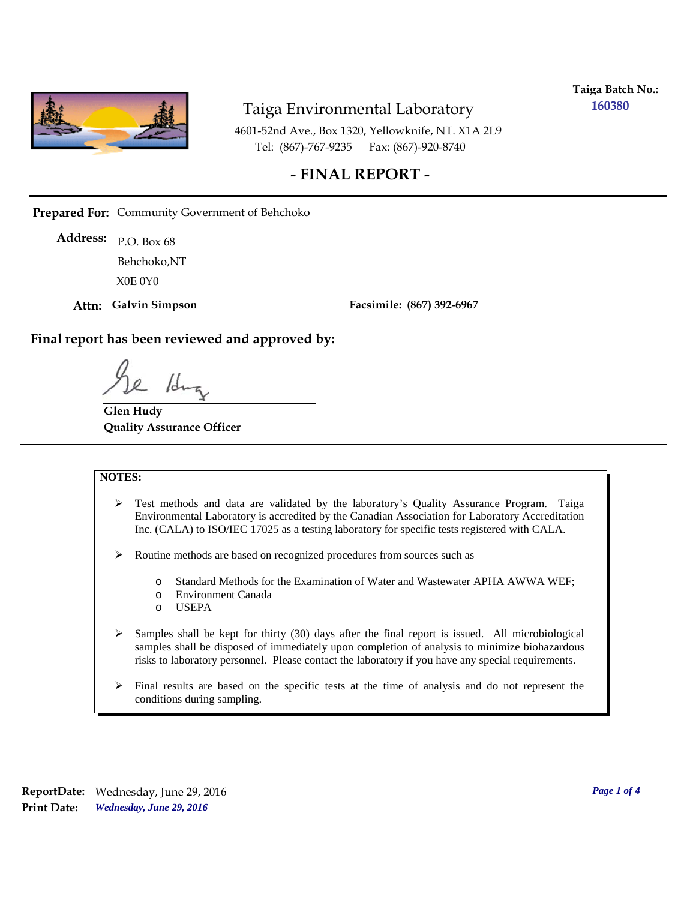

**Taiga Batch No.: 160380**

4601-52nd Ave., Box 1320, Yellowknife, NT. X1A 2L9 Tel: (867)-767-9235 Fax: (867)-920-8740

#### **- FINAL REPORT -**

**Prepared For:** Community Government of Behchoko

P.O. Box 68 **Address:** X0E 0Y0 Behchoko,NT

**Attn: Galvin Simpson**

**Facsimile: (867) 392-6967**

**Final report has been reviewed and approved by:**

1da

**Glen Hudy Quality Assurance Officer**

#### **NOTES:**

- $\triangleright$  Test methods and data are validated by the laboratory's Quality Assurance Program. Taiga Environmental Laboratory is accredited by the Canadian Association for Laboratory Accreditation Inc. (CALA) to ISO/IEC 17025 as a testing laboratory for specific tests registered with CALA.
- Routine methods are based on recognized procedures from sources such as
	- o Standard Methods for the Examination of Water and Wastewater APHA AWWA WEF;
	- o Environment Canada
	- o USEPA
- $\triangleright$  Samples shall be kept for thirty (30) days after the final report is issued. All microbiological samples shall be disposed of immediately upon completion of analysis to minimize biohazardous risks to laboratory personnel. Please contact the laboratory if you have any special requirements.
- $\triangleright$  Final results are based on the specific tests at the time of analysis and do not represent the conditions during sampling.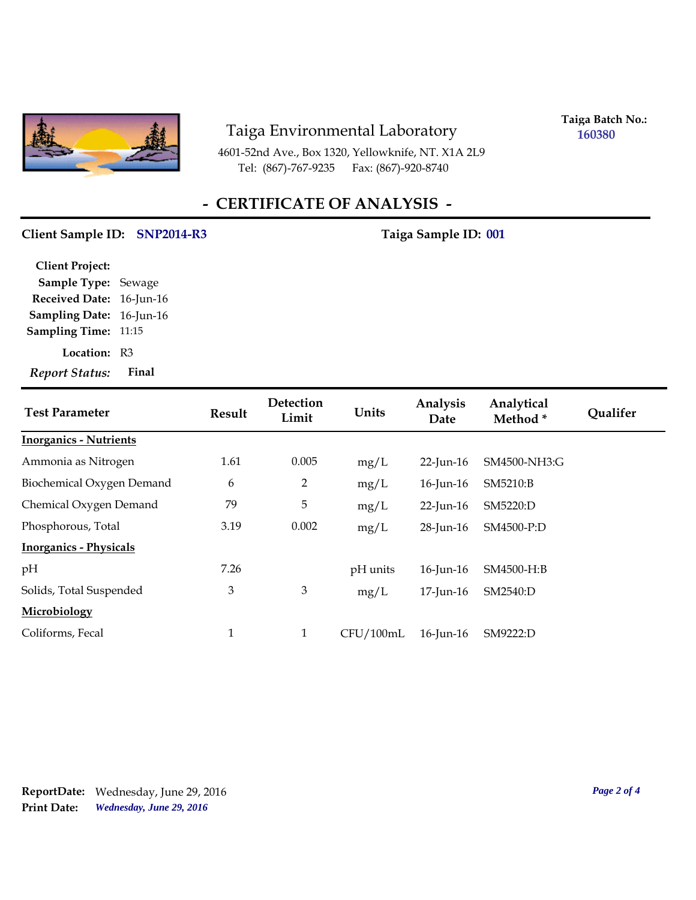

4601-52nd Ave., Box 1320, Yellowknife, NT. X1A 2L9 Tel: (867)-767-9235 Fax: (867)-920-8740

**Taiga Batch No.: 160380**

# **- CERTIFICATE OF ANALYSIS -**

#### Client Sample ID: SNP2014-R3 Taiga Sample ID: 001

| <b>Client Project:</b>      |       |
|-----------------------------|-------|
| <b>Sample Type: Sewage</b>  |       |
| Received Date: 16-Jun-16    |       |
| Sampling Date: 16-Jun-16    |       |
| <b>Sampling Time: 11:15</b> |       |
| <b>Location: R3</b>         |       |
| <b>Report Status:</b>       | Final |

| <b>Test Parameter</b>         | <b>Result</b> | Detection<br>Limit | Units     | Analysis<br>Date | Analytical<br>Method* | Qualifer |
|-------------------------------|---------------|--------------------|-----------|------------------|-----------------------|----------|
| <b>Inorganics - Nutrients</b> |               |                    |           |                  |                       |          |
| Ammonia as Nitrogen           | 1.61          | 0.005              | mg/L      | $22$ -Jun-16     | SM4500-NH3:G          |          |
| Biochemical Oxygen Demand     | 6             | 2                  | mg/L      | $16$ -Jun- $16$  | SM5210:B              |          |
| Chemical Oxygen Demand        | 79            | 5                  | mg/L      | $22$ -Jun-16     | SM5220:D              |          |
| Phosphorous, Total            | 3.19          | 0.002              | mg/L      | $28$ -Jun-16     | SM4500-P:D            |          |
| <b>Inorganics - Physicals</b> |               |                    |           |                  |                       |          |
| pH                            | 7.26          |                    | pH units  | $16$ -Jun- $16$  | SM4500-H:B            |          |
| Solids, Total Suspended       | 3             | $\mathfrak{Z}$     | mg/L      | 17-Jun-16        | SM2540:D              |          |
| Microbiology                  |               |                    |           |                  |                       |          |
| Coliforms, Fecal              | $\mathbf{1}$  | $\mathbf{1}$       | CFU/100mL | 16-Jun-16        | SM9222:D              |          |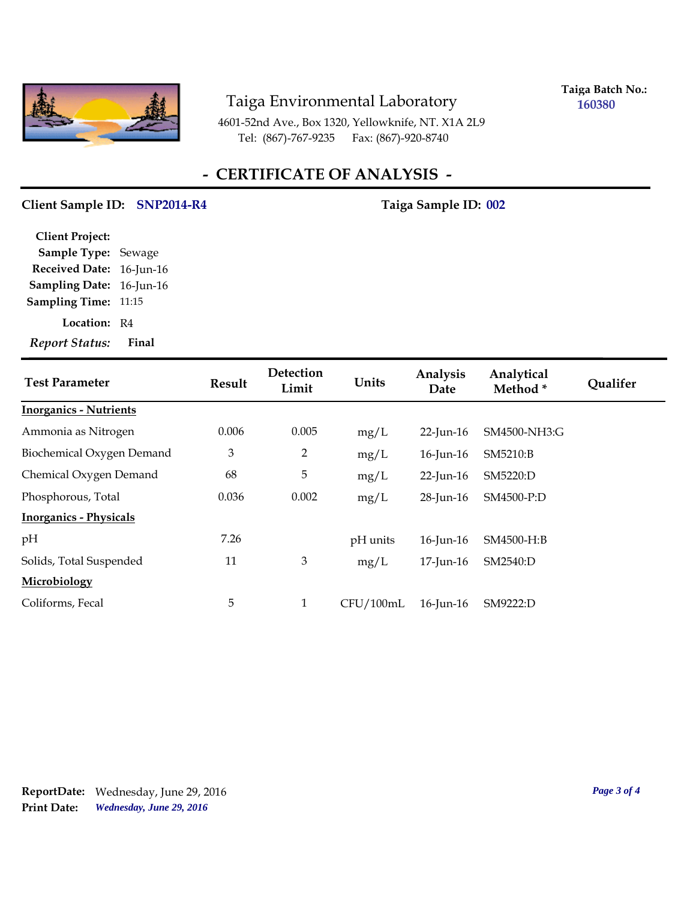

**Taiga Batch No.: 160380**

4601-52nd Ave., Box 1320, Yellowknife, NT. X1A 2L9 Tel: (867)-767-9235 Fax: (867)-920-8740

## **- CERTIFICATE OF ANALYSIS -**

#### Client Sample ID: SNP2014-R4 Taiga Sample ID: 002

| <b>Client Project:</b> |                 |
|------------------------|-----------------|
| Sample Type: Sewage    |                 |
| <b>Received Date:</b>  | $16$ -Jun- $16$ |
| <b>Sampling Date:</b>  | $16$ -Jun- $16$ |
| <b>Sampling Time:</b>  | 11:15           |
| Location:              | R4              |
| <b>Report Status:</b>  | Final           |

| <b>Test Parameter</b>         | <b>Result</b> | Detection<br>Limit | Units     | Analysis<br>Date | Analytical<br>Method* | Qualifer |
|-------------------------------|---------------|--------------------|-----------|------------------|-----------------------|----------|
| <b>Inorganics - Nutrients</b> |               |                    |           |                  |                       |          |
| Ammonia as Nitrogen           | 0.006         | 0.005              | mg/L      | $22$ -Jun-16     | SM4500-NH3:G          |          |
| Biochemical Oxygen Demand     | 3             | 2                  | mg/L      | $16$ -Jun- $16$  | SM5210:B              |          |
| Chemical Oxygen Demand        | 68            | 5                  | mg/L      | $22$ -Jun-16     | SM5220:D              |          |
| Phosphorous, Total            | 0.036         | 0.002              | mg/L      | 28-Jun-16        | SM4500-P:D            |          |
| <b>Inorganics - Physicals</b> |               |                    |           |                  |                       |          |
| pH                            | 7.26          |                    | pH units  | $16$ -Jun- $16$  | SM4500-H:B            |          |
| Solids, Total Suspended       | 11            | 3                  | mg/L      | $17$ -Jun- $16$  | SM2540:D              |          |
| Microbiology                  |               |                    |           |                  |                       |          |
| Coliforms, Fecal              | 5             | $\mathbf{1}$       | CFU/100mL | $16$ -Jun- $16$  | SM9222:D              |          |